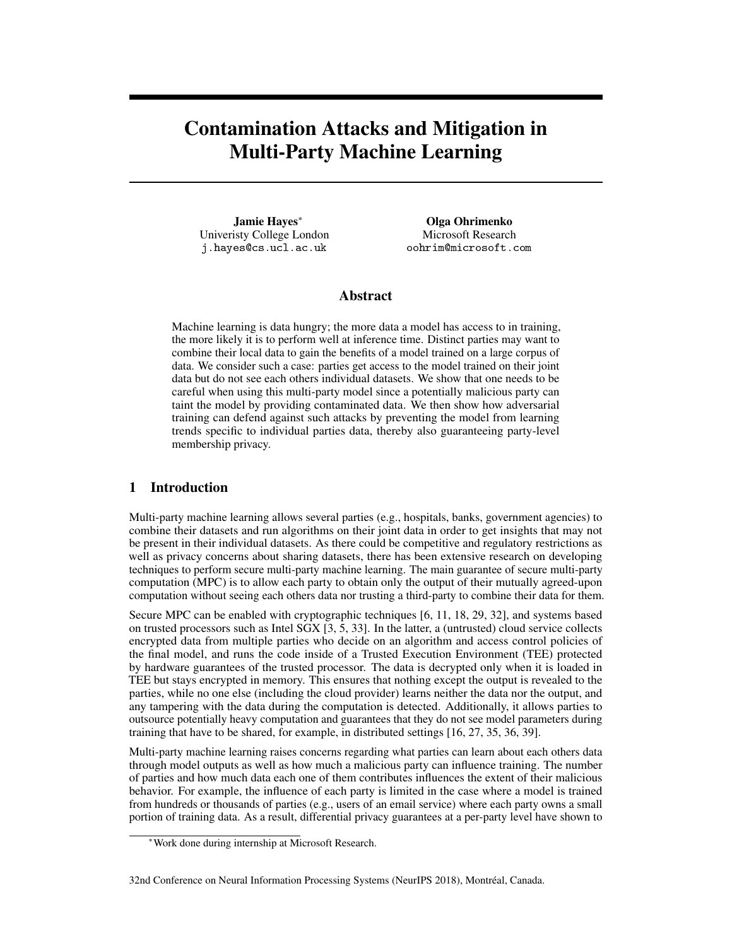# Contamination Attacks and Mitigation in Multi-Party Machine Learning

Jamie Hayes<sup>∗</sup> Univeristy College London j.hayes@cs.ucl.ac.uk

Olga Ohrimenko Microsoft Research oohrim@microsoft.com

# Abstract

Machine learning is data hungry; the more data a model has access to in training, the more likely it is to perform well at inference time. Distinct parties may want to combine their local data to gain the benefits of a model trained on a large corpus of data. We consider such a case: parties get access to the model trained on their joint data but do not see each others individual datasets. We show that one needs to be careful when using this multi-party model since a potentially malicious party can taint the model by providing contaminated data. We then show how adversarial training can defend against such attacks by preventing the model from learning trends specific to individual parties data, thereby also guaranteeing party-level membership privacy.

# 1 Introduction

Multi-party machine learning allows several parties (e.g., hospitals, banks, government agencies) to combine their datasets and run algorithms on their joint data in order to get insights that may not be present in their individual datasets. As there could be competitive and regulatory restrictions as well as privacy concerns about sharing datasets, there has been extensive research on developing techniques to perform secure multi-party machine learning. The main guarantee of secure multi-party computation (MPC) is to allow each party to obtain only the output of their mutually agreed-upon computation without seeing each others data nor trusting a third-party to combine their data for them.

Secure MPC can be enabled with cryptographic techniques [6, 11, 18, 29, 32], and systems based on trusted processors such as Intel SGX [3, 5, 33]. In the latter, a (untrusted) cloud service collects encrypted data from multiple parties who decide on an algorithm and access control policies of the final model, and runs the code inside of a Trusted Execution Environment (TEE) protected by hardware guarantees of the trusted processor. The data is decrypted only when it is loaded in TEE but stays encrypted in memory. This ensures that nothing except the output is revealed to the parties, while no one else (including the cloud provider) learns neither the data nor the output, and any tampering with the data during the computation is detected. Additionally, it allows parties to outsource potentially heavy computation and guarantees that they do not see model parameters during training that have to be shared, for example, in distributed settings [16, 27, 35, 36, 39].

Multi-party machine learning raises concerns regarding what parties can learn about each others data through model outputs as well as how much a malicious party can influence training. The number of parties and how much data each one of them contributes influences the extent of their malicious behavior. For example, the influence of each party is limited in the case where a model is trained from hundreds or thousands of parties (e.g., users of an email service) where each party owns a small portion of training data. As a result, differential privacy guarantees at a per-party level have shown to

<sup>∗</sup>Work done during internship at Microsoft Research.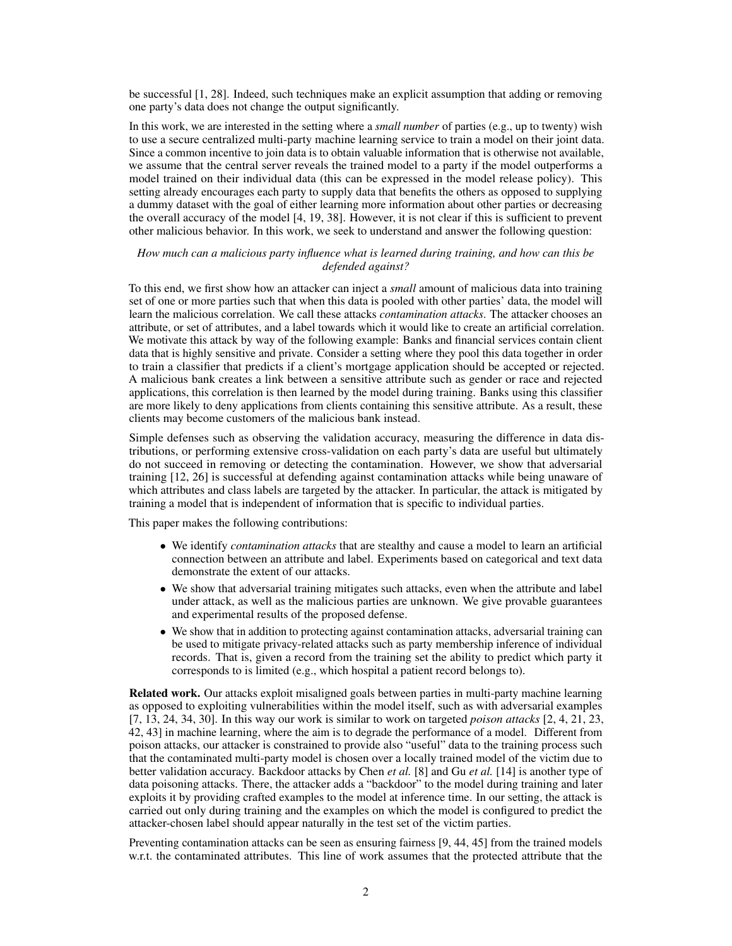be successful [1, 28]. Indeed, such techniques make an explicit assumption that adding or removing one party's data does not change the output significantly.

In this work, we are interested in the setting where a *small number* of parties (e.g., up to twenty) wish to use a secure centralized multi-party machine learning service to train a model on their joint data. Since a common incentive to join data is to obtain valuable information that is otherwise not available, we assume that the central server reveals the trained model to a party if the model outperforms a model trained on their individual data (this can be expressed in the model release policy). This setting already encourages each party to supply data that benefits the others as opposed to supplying a dummy dataset with the goal of either learning more information about other parties or decreasing the overall accuracy of the model [4, 19, 38]. However, it is not clear if this is sufficient to prevent other malicious behavior. In this work, we seek to understand and answer the following question:

#### *How much can a malicious party influence what is learned during training, and how can this be defended against?*

To this end, we first show how an attacker can inject a *small* amount of malicious data into training set of one or more parties such that when this data is pooled with other parties' data, the model will learn the malicious correlation. We call these attacks *contamination attacks*. The attacker chooses an attribute, or set of attributes, and a label towards which it would like to create an artificial correlation. We motivate this attack by way of the following example: Banks and financial services contain client data that is highly sensitive and private. Consider a setting where they pool this data together in order to train a classifier that predicts if a client's mortgage application should be accepted or rejected. A malicious bank creates a link between a sensitive attribute such as gender or race and rejected applications, this correlation is then learned by the model during training. Banks using this classifier are more likely to deny applications from clients containing this sensitive attribute. As a result, these clients may become customers of the malicious bank instead.

Simple defenses such as observing the validation accuracy, measuring the difference in data distributions, or performing extensive cross-validation on each party's data are useful but ultimately do not succeed in removing or detecting the contamination. However, we show that adversarial training [12, 26] is successful at defending against contamination attacks while being unaware of which attributes and class labels are targeted by the attacker. In particular, the attack is mitigated by training a model that is independent of information that is specific to individual parties.

This paper makes the following contributions:

- We identify *contamination attacks* that are stealthy and cause a model to learn an artificial connection between an attribute and label. Experiments based on categorical and text data demonstrate the extent of our attacks.
- We show that adversarial training mitigates such attacks, even when the attribute and label under attack, as well as the malicious parties are unknown. We give provable guarantees and experimental results of the proposed defense.
- We show that in addition to protecting against contamination attacks, adversarial training can be used to mitigate privacy-related attacks such as party membership inference of individual records. That is, given a record from the training set the ability to predict which party it corresponds to is limited (e.g., which hospital a patient record belongs to).

Related work. Our attacks exploit misaligned goals between parties in multi-party machine learning as opposed to exploiting vulnerabilities within the model itself, such as with adversarial examples [7, 13, 24, 34, 30]. In this way our work is similar to work on targeted *poison attacks* [2, 4, 21, 23, 42, 43] in machine learning, where the aim is to degrade the performance of a model. Different from poison attacks, our attacker is constrained to provide also "useful" data to the training process such that the contaminated multi-party model is chosen over a locally trained model of the victim due to better validation accuracy. Backdoor attacks by Chen *et al.* [8] and Gu *et al.* [14] is another type of data poisoning attacks. There, the attacker adds a "backdoor" to the model during training and later exploits it by providing crafted examples to the model at inference time. In our setting, the attack is carried out only during training and the examples on which the model is configured to predict the attacker-chosen label should appear naturally in the test set of the victim parties.

Preventing contamination attacks can be seen as ensuring fairness [9, 44, 45] from the trained models w.r.t. the contaminated attributes. This line of work assumes that the protected attribute that the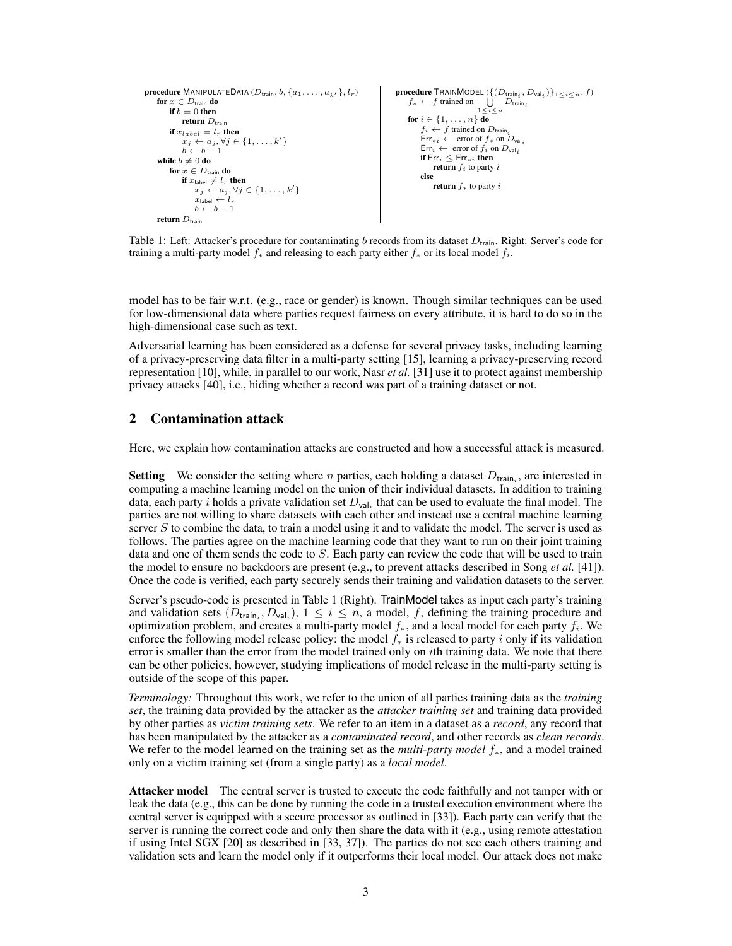```
procedure MANIPULATEDATA (D_{\text{train}}, b, \{a_1, \ldots, a_{k'}\}, l_r)for x \in D<sub>train</sub> do
           if b = 0 then
                return D_{\text{train}}if x_{label} = l_r then
                 x_j \leftarrow a_j, \forall j \in \{1, \ldots, k'\}b - b - 1while b \neq 0 do
           for x \in D_{\text{train}} do
                 if x_{\text{label}} \neq l_r then
                      x_j \leftarrow a_j, \forall j \in \{1, \ldots, k'\}x_{\text{label}} \leftarrow l_rb \leftarrow b - 1return D_{\text{train}}procedure TRAINMODEL (\{ (D_{\text{train}_i}, D_{\text{val}_i}) \}_{1 \leq i \leq n}, f)<br>
f_* \leftarrow f trained on \bigcup_{1 \leq i \leq n} D_{\text{train}_i}for i \in \{1, \ldots, n\} do
                                                                                                                                 f_i \leftarrow f trained on D_{\text{train}}Err_{*i} \leftarrow error of f_* on D_{val_i}Err_i \leftarrow \text{ error of } f_i \text{ on } D_{val_i}if \mathsf{Err}_i \leq \mathsf{Err}_{*i} then
                                                                                                                                    return f_i to party i
                                                                                                                                 else
                                                                                                                                       return f_* to party i
```
Table 1: Left: Attacker's procedure for contaminating b records from its dataset  $D_{\text{train}}$ . Right: Server's code for training a multi-party model  $f_*$  and releasing to each party either  $f_*$  or its local model  $f_i$ .

model has to be fair w.r.t. (e.g., race or gender) is known. Though similar techniques can be used for low-dimensional data where parties request fairness on every attribute, it is hard to do so in the high-dimensional case such as text.

Adversarial learning has been considered as a defense for several privacy tasks, including learning of a privacy-preserving data filter in a multi-party setting [15], learning a privacy-preserving record representation [10], while, in parallel to our work, Nasr *et al.* [31] use it to protect against membership privacy attacks [40], i.e., hiding whether a record was part of a training dataset or not.

# 2 Contamination attack

Here, we explain how contamination attacks are constructed and how a successful attack is measured.

**Setting** We consider the setting where *n* parties, each holding a dataset  $D_{\text{train}_i}$ , are interested in computing a machine learning model on the union of their individual datasets. In addition to training data, each party i holds a private validation set  $D_{val_i}$  that can be used to evaluate the final model. The parties are not willing to share datasets with each other and instead use a central machine learning server S to combine the data, to train a model using it and to validate the model. The server is used as follows. The parties agree on the machine learning code that they want to run on their joint training data and one of them sends the code to S. Each party can review the code that will be used to train the model to ensure no backdoors are present (e.g., to prevent attacks described in Song *et al.* [41]). Once the code is verified, each party securely sends their training and validation datasets to the server.

Server's pseudo-code is presented in Table 1 (Right). TrainModel takes as input each party's training and validation sets  $(D_{\text{train}_i}, D_{\text{val}_i}), 1 \leq i \leq n$ , a model, f, defining the training procedure and optimization problem, and creates a multi-party model  $f_*$ , and a local model for each party  $f_i$ . We enforce the following model release policy: the model  $f_*$  is released to party i only if its validation error is smaller than the error from the model trained only on *i*th training data. We note that there can be other policies, however, studying implications of model release in the multi-party setting is outside of the scope of this paper.

*Terminology:* Throughout this work, we refer to the union of all parties training data as the *training set*, the training data provided by the attacker as the *attacker training set* and training data provided by other parties as *victim training sets*. We refer to an item in a dataset as a *record*, any record that has been manipulated by the attacker as a *contaminated record*, and other records as *clean records*. We refer to the model learned on the training set as the *multi-party model* f∗, and a model trained only on a victim training set (from a single party) as a *local model*.

Attacker model The central server is trusted to execute the code faithfully and not tamper with or leak the data (e.g., this can be done by running the code in a trusted execution environment where the central server is equipped with a secure processor as outlined in [33]). Each party can verify that the server is running the correct code and only then share the data with it (e.g., using remote attestation if using Intel SGX [20] as described in [33, 37]). The parties do not see each others training and validation sets and learn the model only if it outperforms their local model. Our attack does not make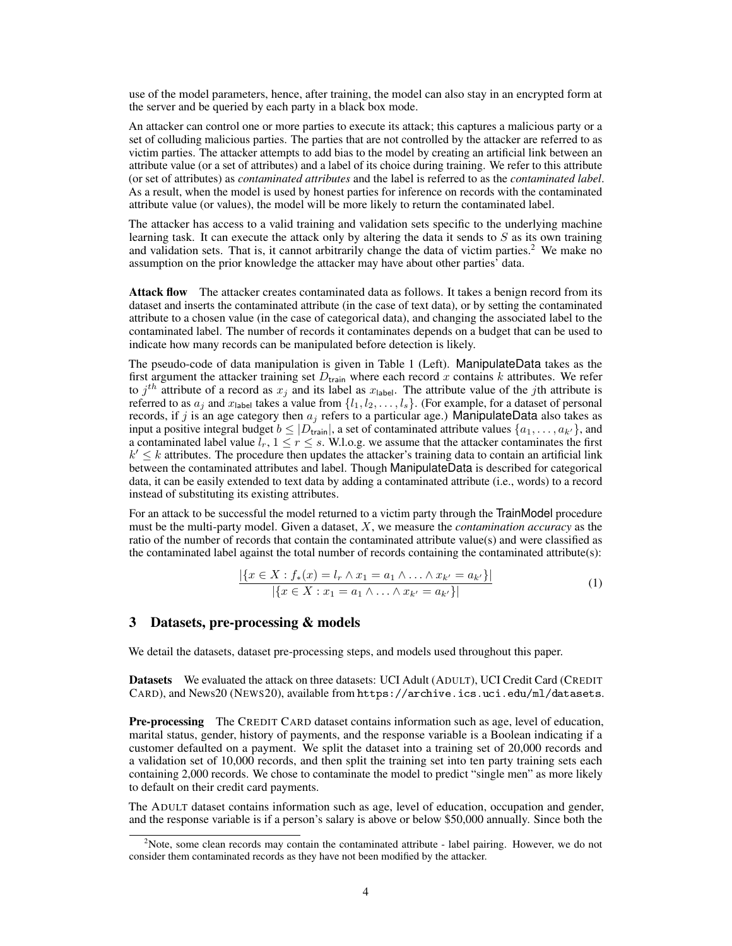use of the model parameters, hence, after training, the model can also stay in an encrypted form at the server and be queried by each party in a black box mode.

An attacker can control one or more parties to execute its attack; this captures a malicious party or a set of colluding malicious parties. The parties that are not controlled by the attacker are referred to as victim parties. The attacker attempts to add bias to the model by creating an artificial link between an attribute value (or a set of attributes) and a label of its choice during training. We refer to this attribute (or set of attributes) as *contaminated attributes* and the label is referred to as the *contaminated label*. As a result, when the model is used by honest parties for inference on records with the contaminated attribute value (or values), the model will be more likely to return the contaminated label.

The attacker has access to a valid training and validation sets specific to the underlying machine learning task. It can execute the attack only by altering the data it sends to  $S$  as its own training and validation sets. That is, it cannot arbitrarily change the data of victim parties. $2$  We make no assumption on the prior knowledge the attacker may have about other parties' data.

Attack flow The attacker creates contaminated data as follows. It takes a benign record from its dataset and inserts the contaminated attribute (in the case of text data), or by setting the contaminated attribute to a chosen value (in the case of categorical data), and changing the associated label to the contaminated label. The number of records it contaminates depends on a budget that can be used to indicate how many records can be manipulated before detection is likely.

The pseudo-code of data manipulation is given in Table 1 (Left). ManipulateData takes as the first argument the attacker training set  $D_{\text{train}}$  where each record x contains k attributes. We refer to  $j<sup>th</sup>$  attribute of a record as  $x_j$  and its label as  $x_{\text{label}}$ . The attribute value of the jth attribute is referred to as  $a_j$  and  $x_{\text{label}}$  takes a value from  $\{l_1, l_2, \ldots, l_s\}$ . (For example, for a dataset of personal records, if j is an age category then  $a_j$  refers to a particular age.) ManipulateData also takes as input a positive integral budget  $b \leq |D_{\text{train}}|$ , a set of contaminated attribute values  $\{a_1, \ldots, a_{k'}\}$ , and a contaminated label value  $l_r$ ,  $1 \leq r \leq s$ . W.l.o.g. we assume that the attacker contaminates the first  $k' \leq k$  attributes. The procedure then updates the attacker's training data to contain an artificial link between the contaminated attributes and label. Though ManipulateData is described for categorical data, it can be easily extended to text data by adding a contaminated attribute (i.e., words) to a record instead of substituting its existing attributes.

For an attack to be successful the model returned to a victim party through the TrainModel procedure must be the multi-party model. Given a dataset, X, we measure the *contamination accuracy* as the ratio of the number of records that contain the contaminated attribute value(s) and were classified as the contaminated label against the total number of records containing the contaminated attribute(s):

$$
\frac{|\{x \in X : f_*(x) = l_r \wedge x_1 = a_1 \wedge \ldots \wedge x_{k'} = a_{k'}\}|}{|\{x \in X : x_1 = a_1 \wedge \ldots \wedge x_{k'} = a_{k'}\}|}
$$
(1)

## 3 Datasets, pre-processing & models

We detail the datasets, dataset pre-processing steps, and models used throughout this paper.

Datasets We evaluated the attack on three datasets: UCI Adult (ADULT), UCI Credit Card (CREDIT) CARD), and News20 (NEWS20), available from https://archive.ics.uci.edu/ml/datasets.

Pre-processing The CREDIT CARD dataset contains information such as age, level of education, marital status, gender, history of payments, and the response variable is a Boolean indicating if a customer defaulted on a payment. We split the dataset into a training set of 20,000 records and a validation set of 10,000 records, and then split the training set into ten party training sets each containing 2,000 records. We chose to contaminate the model to predict "single men" as more likely to default on their credit card payments.

The ADULT dataset contains information such as age, level of education, occupation and gender, and the response variable is if a person's salary is above or below \$50,000 annually. Since both the

<sup>&</sup>lt;sup>2</sup>Note, some clean records may contain the contaminated attribute - label pairing. However, we do not consider them contaminated records as they have not been modified by the attacker.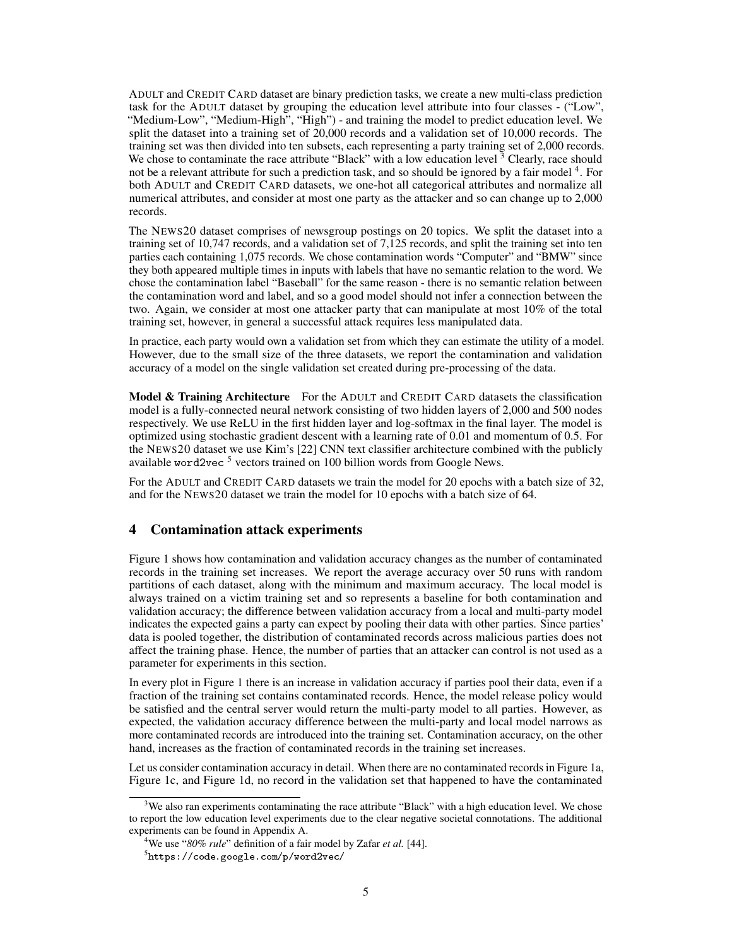ADULT and CREDIT CARD dataset are binary prediction tasks, we create a new multi-class prediction task for the ADULT dataset by grouping the education level attribute into four classes - ("Low", "Medium-Low", "Medium-High", "High") - and training the model to predict education level. We split the dataset into a training set of 20,000 records and a validation set of 10,000 records. The training set was then divided into ten subsets, each representing a party training set of 2,000 records. We chose to contaminate the race attribute "Black" with a low education level  $3$  Clearly, race should not be a relevant attribute for such a prediction task, and so should be ignored by a fair model <sup>4</sup>. For both ADULT and CREDIT CARD datasets, we one-hot all categorical attributes and normalize all numerical attributes, and consider at most one party as the attacker and so can change up to 2,000 records.

The NEWS20 dataset comprises of newsgroup postings on 20 topics. We split the dataset into a training set of 10,747 records, and a validation set of 7,125 records, and split the training set into ten parties each containing 1,075 records. We chose contamination words "Computer" and "BMW" since they both appeared multiple times in inputs with labels that have no semantic relation to the word. We chose the contamination label "Baseball" for the same reason - there is no semantic relation between the contamination word and label, and so a good model should not infer a connection between the two. Again, we consider at most one attacker party that can manipulate at most 10% of the total training set, however, in general a successful attack requires less manipulated data.

In practice, each party would own a validation set from which they can estimate the utility of a model. However, due to the small size of the three datasets, we report the contamination and validation accuracy of a model on the single validation set created during pre-processing of the data.

Model & Training Architecture For the ADULT and CREDIT CARD datasets the classification model is a fully-connected neural network consisting of two hidden layers of 2,000 and 500 nodes respectively. We use ReLU in the first hidden layer and log-softmax in the final layer. The model is optimized using stochastic gradient descent with a learning rate of 0.01 and momentum of 0.5. For the NEWS20 dataset we use Kim's [22] CNN text classifier architecture combined with the publicly available word2vec<sup>5</sup> vectors trained on 100 billion words from Google News.

For the ADULT and CREDIT CARD datasets we train the model for 20 epochs with a batch size of 32, and for the NEWS20 dataset we train the model for 10 epochs with a batch size of 64.

# 4 Contamination attack experiments

Figure 1 shows how contamination and validation accuracy changes as the number of contaminated records in the training set increases. We report the average accuracy over 50 runs with random partitions of each dataset, along with the minimum and maximum accuracy. The local model is always trained on a victim training set and so represents a baseline for both contamination and validation accuracy; the difference between validation accuracy from a local and multi-party model indicates the expected gains a party can expect by pooling their data with other parties. Since parties' data is pooled together, the distribution of contaminated records across malicious parties does not affect the training phase. Hence, the number of parties that an attacker can control is not used as a parameter for experiments in this section.

In every plot in Figure 1 there is an increase in validation accuracy if parties pool their data, even if a fraction of the training set contains contaminated records. Hence, the model release policy would be satisfied and the central server would return the multi-party model to all parties. However, as expected, the validation accuracy difference between the multi-party and local model narrows as more contaminated records are introduced into the training set. Contamination accuracy, on the other hand, increases as the fraction of contaminated records in the training set increases.

Let us consider contamination accuracy in detail. When there are no contaminated records in Figure 1a, Figure 1c, and Figure 1d, no record in the validation set that happened to have the contaminated

<sup>&</sup>lt;sup>3</sup>We also ran experiments contaminating the race attribute "Black" with a high education level. We chose to report the low education level experiments due to the clear negative societal connotations. The additional experiments can be found in Appendix A.

<sup>4</sup>We use "*80% rule*" definition of a fair model by Zafar *et al.* [44].

 $^5$ https://code.google.com/p/word2vec/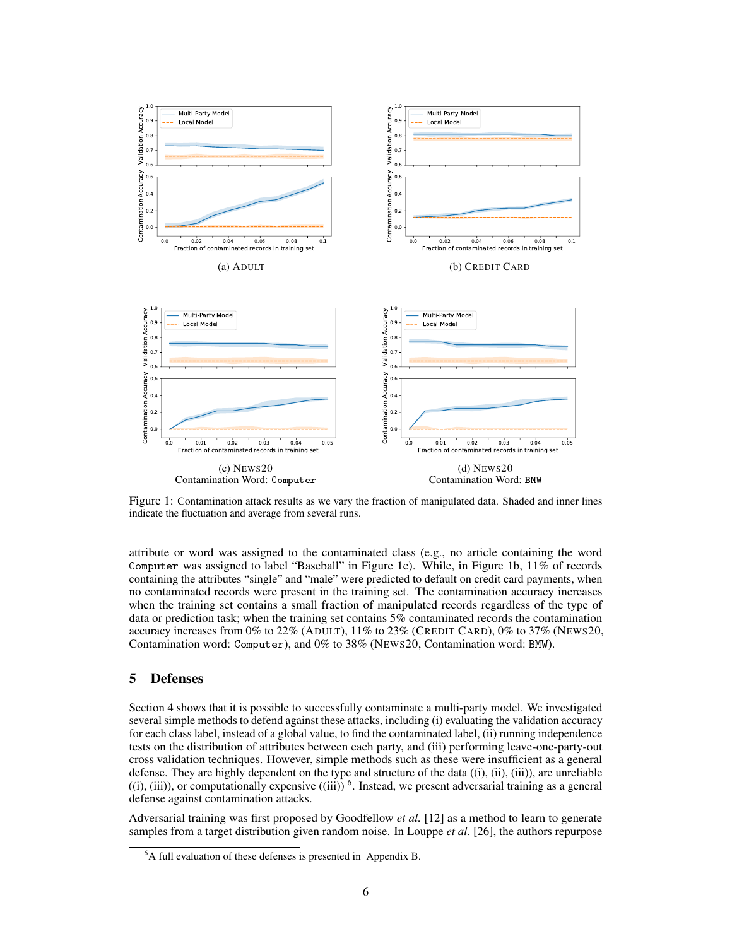

Figure 1: Contamination attack results as we vary the fraction of manipulated data. Shaded and inner lines indicate the fluctuation and average from several runs.

attribute or word was assigned to the contaminated class (e.g., no article containing the word Computer was assigned to label "Baseball" in Figure 1c). While, in Figure 1b,  $11\%$  of records containing the attributes "single" and "male" were predicted to default on credit card payments, when no contaminated records were present in the training set. The contamination accuracy increases when the training set contains a small fraction of manipulated records regardless of the type of data or prediction task; when the training set contains 5% contaminated records the contamination accuracy increases from 0% to 22% (ADULT), 11% to 23% (CREDIT CARD), 0% to 37% (NEWS20, Contamination word: Computer), and 0% to 38% (NEWS20, Contamination word: BMW).

# 5 Defenses

Section 4 shows that it is possible to successfully contaminate a multi-party model. We investigated several simple methods to defend against these attacks, including (i) evaluating the validation accuracy for each class label, instead of a global value, to find the contaminated label, (ii) running independence tests on the distribution of attributes between each party, and (iii) performing leave-one-party-out cross validation techniques. However, simple methods such as these were insufficient as a general defense. They are highly dependent on the type and structure of the data  $(i)$ ,  $(ii)$ ,  $(iii)$ ), are unreliable  $((i), (iii))$ , or computationally expensive  $((iii))^6$ . Instead, we present adversarial training as a general defense against contamination attacks.

Adversarial training was first proposed by Goodfellow *et al.* [12] as a method to learn to generate samples from a target distribution given random noise. In Louppe *et al.* [26], the authors repurpose

 ${}^{6}A$  full evaluation of these defenses is presented in Appendix B.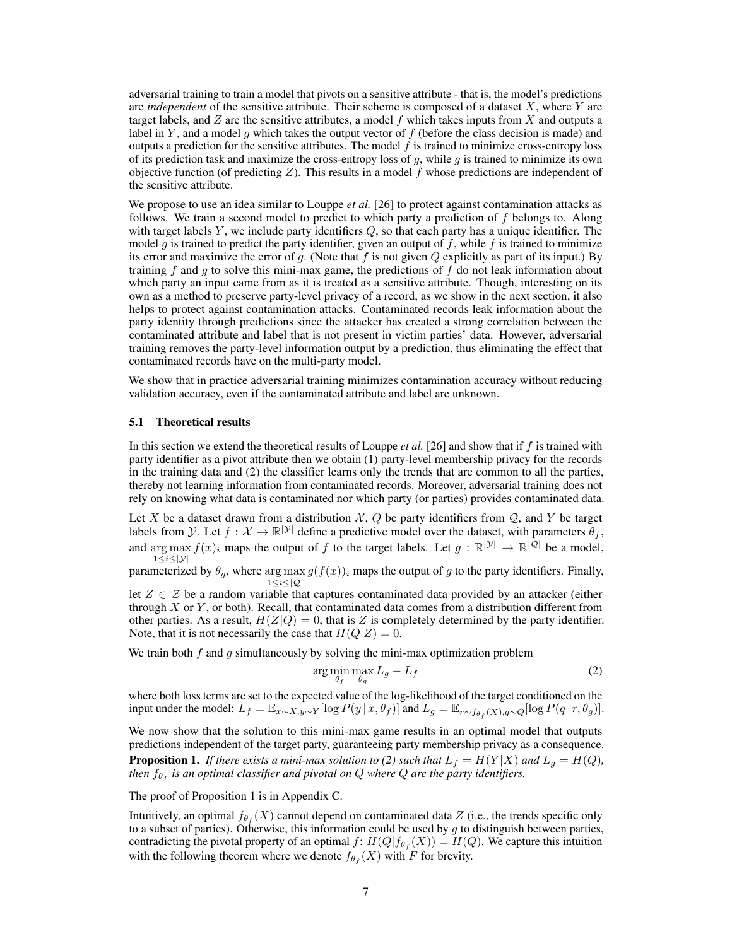adversarial training to train a model that pivots on a sensitive attribute - that is, the model's predictions are *independent* of the sensitive attribute. Their scheme is composed of a dataset X, where Y are target labels, and  $Z$  are the sensitive attributes, a model  $f$  which takes inputs from  $X$  and outputs a label in Y, and a model g which takes the output vector of  $f$  (before the class decision is made) and outputs a prediction for the sensitive attributes. The model f is trained to minimize cross-entropy loss of its prediction task and maximize the cross-entropy loss of  $g$ , while  $g$  is trained to minimize its own objective function (of predicting  $Z$ ). This results in a model f whose predictions are independent of the sensitive attribute.

We propose to use an idea similar to Louppe *et al.* [26] to protect against contamination attacks as follows. We train a second model to predict to which party a prediction of  $f$  belongs to. Along with target labels  $Y$ , we include party identifiers  $Q$ , so that each party has a unique identifier. The model g is trained to predict the party identifier, given an output of f, while f is trained to minimize its error and maximize the error of g. (Note that f is not given Q explicitly as part of its input.) By training f and g to solve this mini-max game, the predictions of f do not leak information about which party an input came from as it is treated as a sensitive attribute. Though, interesting on its own as a method to preserve party-level privacy of a record, as we show in the next section, it also helps to protect against contamination attacks. Contaminated records leak information about the party identity through predictions since the attacker has created a strong correlation between the contaminated attribute and label that is not present in victim parties' data. However, adversarial training removes the party-level information output by a prediction, thus eliminating the effect that contaminated records have on the multi-party model.

We show that in practice adversarial training minimizes contamination accuracy without reducing validation accuracy, even if the contaminated attribute and label are unknown.

#### 5.1 Theoretical results

In this section we extend the theoretical results of Louppe *et al.* [26] and show that if f is trained with party identifier as a pivot attribute then we obtain (1) party-level membership privacy for the records in the training data and (2) the classifier learns only the trends that are common to all the parties, thereby not learning information from contaminated records. Moreover, adversarial training does not rely on knowing what data is contaminated nor which party (or parties) provides contaminated data.

Let X be a dataset drawn from a distribution  $\mathcal{X}, \mathcal{Q}$  be party identifiers from  $\mathcal{Q}$ , and Y be target labels from *y*. Let  $f: \mathcal{X} \to \mathbb{R}^{|\mathcal{Y}|}$  define a predictive model over the dataset, with parameters  $\theta_f$ , and  $\arg \max f(x)_i$  maps the output of f to the target labels. Let  $g : \mathbb{R}^{|\mathcal{Y}|} \to \mathbb{R}^{|\mathcal{Q}|}$  be a model,  $1 \leq i \leq |\mathcal{Y}|$ 

parameterized by  $\theta_g$ , where  $\arg \max g(f(x))_i$  maps the output of g to the party identifiers. Finally, 1≤i≤|Q|

let  $Z \in \mathcal{Z}$  be a random variable that captures contaminated data provided by an attacker (either through  $X$  or  $Y$ , or both). Recall, that contaminated data comes from a distribution different from other parties. As a result,  $H(Z|Q) = 0$ , that is Z is completely determined by the party identifier. Note, that it is not necessarily the case that  $H(Q|Z) = 0$ .

We train both f and q simultaneously by solving the mini-max optimization problem

$$
\arg\min_{\theta_f} \max_{\theta_g} L_g - L_f \tag{2}
$$

where both loss terms are set to the expected value of the log-likelihood of the target conditioned on the input under the model:  $L_f = \mathbb{E}_{x \sim X, y \sim Y} [\log P(y | x, \theta_f)]$  and  $L_g = \mathbb{E}_{r \sim f_{\theta_f}(X), q \sim Q} [\log P(q | r, \theta_g)].$ 

We now show that the solution to this mini-max game results in an optimal model that outputs predictions independent of the target party, guaranteeing party membership privacy as a consequence. **Proposition 1.** *If there exists a mini-max solution to (2) such that*  $L_f = H(Y|X)$  *and*  $L_g = H(Q)$ *, then*  $f_{\theta_f}$  *is an optimal classifier and pivotal on*  $Q$  *where*  $Q$  *are the party identifiers.* 

The proof of Proposition 1 is in Appendix C.

Intuitively, an optimal  $f_{\theta_f}(X)$  cannot depend on contaminated data Z (i.e., the trends specific only to a subset of parties). Otherwise, this information could be used by  $q$  to distinguish between parties, contradicting the pivotal property of an optimal  $f: H(Q|f_{\theta_f}(X)) = H(Q)$ . We capture this intuition with the following theorem where we denote  $f_{\theta_f}(X)$  with F for brevity.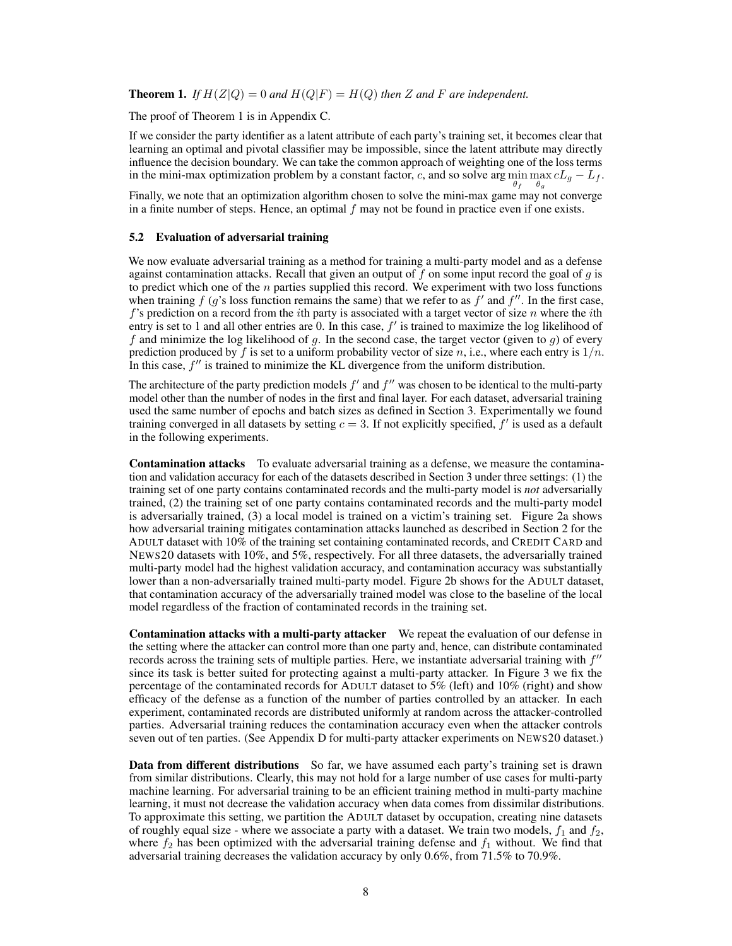**Theorem 1.** If  $H(Z|Q) = 0$  and  $H(Q|F) = H(Q)$  then Z and F are independent.

The proof of Theorem 1 is in Appendix C.

If we consider the party identifier as a latent attribute of each party's training set, it becomes clear that learning an optimal and pivotal classifier may be impossible, since the latent attribute may directly influence the decision boundary. We can take the common approach of weighting one of the loss terms in the mini-max optimization problem by a constant factor, c, and so solve arg  $\min \max_{\alpha} cL_g - L_f$ .  $\theta_f$   $\theta_g$ 

Finally, we note that an optimization algorithm chosen to solve the mini-max game may not converge in a finite number of steps. Hence, an optimal  $f$  may not be found in practice even if one exists.

#### 5.2 Evaluation of adversarial training

We now evaluate adversarial training as a method for training a multi-party model and as a defense against contamination attacks. Recall that given an output of f on some input record the goal of  $q$  is to predict which one of the  $n$  parties supplied this record. We experiment with two loss functions when training  $f(g)$ 's loss function remains the same) that we refer to as  $f'$  and  $f''$ . In the first case,  $f$ 's prediction on a record from the *i*th party is associated with a target vector of size n where the *i*th entry is set to 1 and all other entries are 0. In this case,  $f'$  is trained to maximize the log likelihood of f and minimize the log likelihood of g. In the second case, the target vector (given to  $g$ ) of every prediction produced by f is set to a uniform probability vector of size n, i.e., where each entry is  $1/n$ . In this case,  $f''$  is trained to minimize the KL divergence from the uniform distribution.

The architecture of the party prediction models  $f'$  and  $f''$  was chosen to be identical to the multi-party model other than the number of nodes in the first and final layer. For each dataset, adversarial training used the same number of epochs and batch sizes as defined in Section 3. Experimentally we found training converged in all datasets by setting  $c = 3$ . If not explicitly specified,  $f'$  is used as a default in the following experiments.

Contamination attacks To evaluate adversarial training as a defense, we measure the contamination and validation accuracy for each of the datasets described in Section 3 under three settings: (1) the training set of one party contains contaminated records and the multi-party model is *not* adversarially trained, (2) the training set of one party contains contaminated records and the multi-party model is adversarially trained, (3) a local model is trained on a victim's training set. Figure 2a shows how adversarial training mitigates contamination attacks launched as described in Section 2 for the ADULT dataset with 10% of the training set containing contaminated records, and CREDIT CARD and NEWS20 datasets with 10%, and 5%, respectively. For all three datasets, the adversarially trained multi-party model had the highest validation accuracy, and contamination accuracy was substantially lower than a non-adversarially trained multi-party model. Figure 2b shows for the ADULT dataset, that contamination accuracy of the adversarially trained model was close to the baseline of the local model regardless of the fraction of contaminated records in the training set.

Contamination attacks with a multi-party attacker We repeat the evaluation of our defense in the setting where the attacker can control more than one party and, hence, can distribute contaminated records across the training sets of multiple parties. Here, we instantiate adversarial training with  $f''$ since its task is better suited for protecting against a multi-party attacker. In Figure 3 we fix the percentage of the contaminated records for ADULT dataset to 5% (left) and 10% (right) and show efficacy of the defense as a function of the number of parties controlled by an attacker. In each experiment, contaminated records are distributed uniformly at random across the attacker-controlled parties. Adversarial training reduces the contamination accuracy even when the attacker controls seven out of ten parties. (See Appendix D for multi-party attacker experiments on NEWS20 dataset.)

Data from different distributions So far, we have assumed each party's training set is drawn from similar distributions. Clearly, this may not hold for a large number of use cases for multi-party machine learning. For adversarial training to be an efficient training method in multi-party machine learning, it must not decrease the validation accuracy when data comes from dissimilar distributions. To approximate this setting, we partition the ADULT dataset by occupation, creating nine datasets of roughly equal size - where we associate a party with a dataset. We train two models,  $f_1$  and  $f_2$ , where  $f_2$  has been optimized with the adversarial training defense and  $f_1$  without. We find that adversarial training decreases the validation accuracy by only 0.6%, from 71.5% to 70.9%.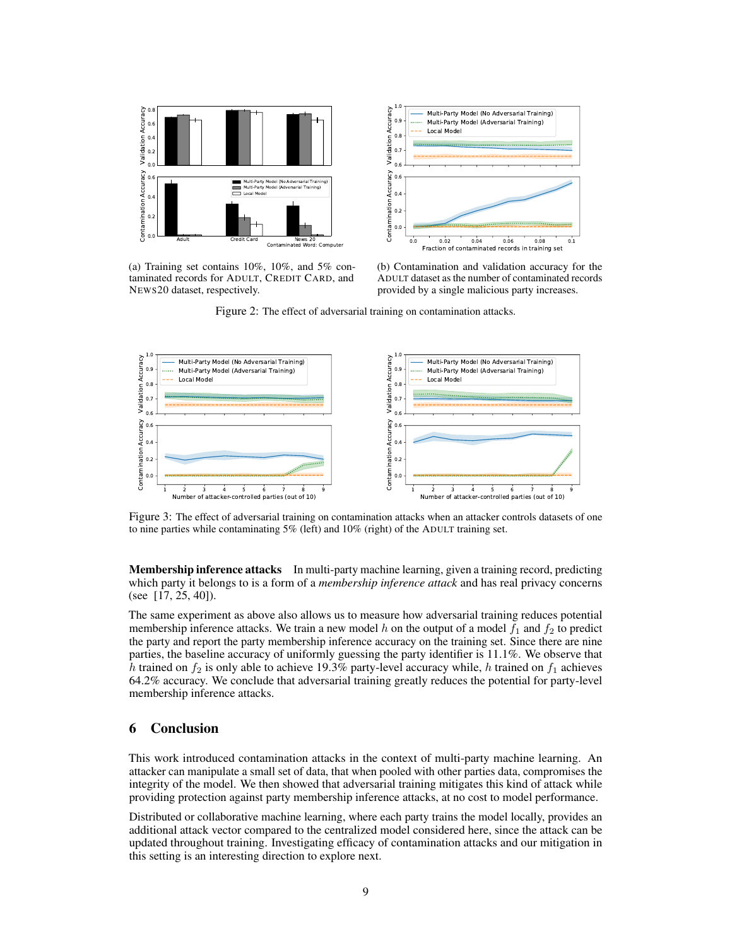

(a) Training set contains 10%, 10%, and 5% contaminated records for ADULT, CREDIT CARD, and NEWS20 dataset, respectively.



(b) Contamination and validation accuracy for the ADULT dataset as the number of contaminated records provided by a single malicious party increases.

Figure 2: The effect of adversarial training on contamination attacks.



Figure 3: The effect of adversarial training on contamination attacks when an attacker controls datasets of one to nine parties while contaminating 5% (left) and 10% (right) of the ADULT training set.

Membership inference attacks In multi-party machine learning, given a training record, predicting which party it belongs to is a form of a *membership inference attack* and has real privacy concerns (see [17, 25, 40]).

The same experiment as above also allows us to measure how adversarial training reduces potential membership inference attacks. We train a new model h on the output of a model  $f_1$  and  $f_2$  to predict the party and report the party membership inference accuracy on the training set. Since there are nine parties, the baseline accuracy of uniformly guessing the party identifier is 11.1%. We observe that h trained on  $f_2$  is only able to achieve 19.3% party-level accuracy while, h trained on  $f_1$  achieves 64.2% accuracy. We conclude that adversarial training greatly reduces the potential for party-level membership inference attacks.

# 6 Conclusion

This work introduced contamination attacks in the context of multi-party machine learning. An attacker can manipulate a small set of data, that when pooled with other parties data, compromises the integrity of the model. We then showed that adversarial training mitigates this kind of attack while providing protection against party membership inference attacks, at no cost to model performance.

Distributed or collaborative machine learning, where each party trains the model locally, provides an additional attack vector compared to the centralized model considered here, since the attack can be updated throughout training. Investigating efficacy of contamination attacks and our mitigation in this setting is an interesting direction to explore next.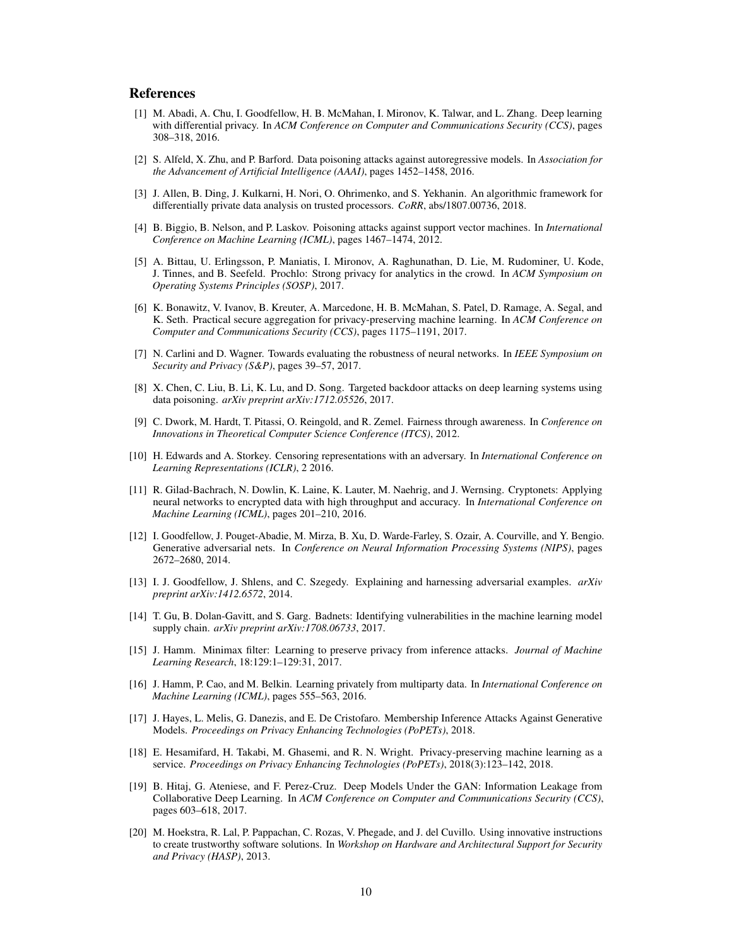### References

- [1] M. Abadi, A. Chu, I. Goodfellow, H. B. McMahan, I. Mironov, K. Talwar, and L. Zhang. Deep learning with differential privacy. In *ACM Conference on Computer and Communications Security (CCS)*, pages 308–318, 2016.
- [2] S. Alfeld, X. Zhu, and P. Barford. Data poisoning attacks against autoregressive models. In *Association for the Advancement of Artificial Intelligence (AAAI)*, pages 1452–1458, 2016.
- [3] J. Allen, B. Ding, J. Kulkarni, H. Nori, O. Ohrimenko, and S. Yekhanin. An algorithmic framework for differentially private data analysis on trusted processors. *CoRR*, abs/1807.00736, 2018.
- [4] B. Biggio, B. Nelson, and P. Laskov. Poisoning attacks against support vector machines. In *International Conference on Machine Learning (ICML)*, pages 1467–1474, 2012.
- [5] A. Bittau, U. Erlingsson, P. Maniatis, I. Mironov, A. Raghunathan, D. Lie, M. Rudominer, U. Kode, J. Tinnes, and B. Seefeld. Prochlo: Strong privacy for analytics in the crowd. In *ACM Symposium on Operating Systems Principles (SOSP)*, 2017.
- [6] K. Bonawitz, V. Ivanov, B. Kreuter, A. Marcedone, H. B. McMahan, S. Patel, D. Ramage, A. Segal, and K. Seth. Practical secure aggregation for privacy-preserving machine learning. In *ACM Conference on Computer and Communications Security (CCS)*, pages 1175–1191, 2017.
- [7] N. Carlini and D. Wagner. Towards evaluating the robustness of neural networks. In *IEEE Symposium on Security and Privacy (S&P)*, pages 39–57, 2017.
- [8] X. Chen, C. Liu, B. Li, K. Lu, and D. Song. Targeted backdoor attacks on deep learning systems using data poisoning. *arXiv preprint arXiv:1712.05526*, 2017.
- [9] C. Dwork, M. Hardt, T. Pitassi, O. Reingold, and R. Zemel. Fairness through awareness. In *Conference on Innovations in Theoretical Computer Science Conference (ITCS)*, 2012.
- [10] H. Edwards and A. Storkey. Censoring representations with an adversary. In *International Conference on Learning Representations (ICLR)*, 2 2016.
- [11] R. Gilad-Bachrach, N. Dowlin, K. Laine, K. Lauter, M. Naehrig, and J. Wernsing. Cryptonets: Applying neural networks to encrypted data with high throughput and accuracy. In *International Conference on Machine Learning (ICML)*, pages 201–210, 2016.
- [12] I. Goodfellow, J. Pouget-Abadie, M. Mirza, B. Xu, D. Warde-Farley, S. Ozair, A. Courville, and Y. Bengio. Generative adversarial nets. In *Conference on Neural Information Processing Systems (NIPS)*, pages 2672–2680, 2014.
- [13] I. J. Goodfellow, J. Shlens, and C. Szegedy. Explaining and harnessing adversarial examples. *arXiv preprint arXiv:1412.6572*, 2014.
- [14] T. Gu, B. Dolan-Gavitt, and S. Garg. Badnets: Identifying vulnerabilities in the machine learning model supply chain. *arXiv preprint arXiv:1708.06733*, 2017.
- [15] J. Hamm. Minimax filter: Learning to preserve privacy from inference attacks. *Journal of Machine Learning Research*, 18:129:1–129:31, 2017.
- [16] J. Hamm, P. Cao, and M. Belkin. Learning privately from multiparty data. In *International Conference on Machine Learning (ICML)*, pages 555–563, 2016.
- [17] J. Hayes, L. Melis, G. Danezis, and E. De Cristofaro. Membership Inference Attacks Against Generative Models. *Proceedings on Privacy Enhancing Technologies (PoPETs)*, 2018.
- [18] E. Hesamifard, H. Takabi, M. Ghasemi, and R. N. Wright. Privacy-preserving machine learning as a service. *Proceedings on Privacy Enhancing Technologies (PoPETs)*, 2018(3):123–142, 2018.
- [19] B. Hitaj, G. Ateniese, and F. Perez-Cruz. Deep Models Under the GAN: Information Leakage from Collaborative Deep Learning. In *ACM Conference on Computer and Communications Security (CCS)*, pages 603–618, 2017.
- [20] M. Hoekstra, R. Lal, P. Pappachan, C. Rozas, V. Phegade, and J. del Cuvillo. Using innovative instructions to create trustworthy software solutions. In *Workshop on Hardware and Architectural Support for Security and Privacy (HASP)*, 2013.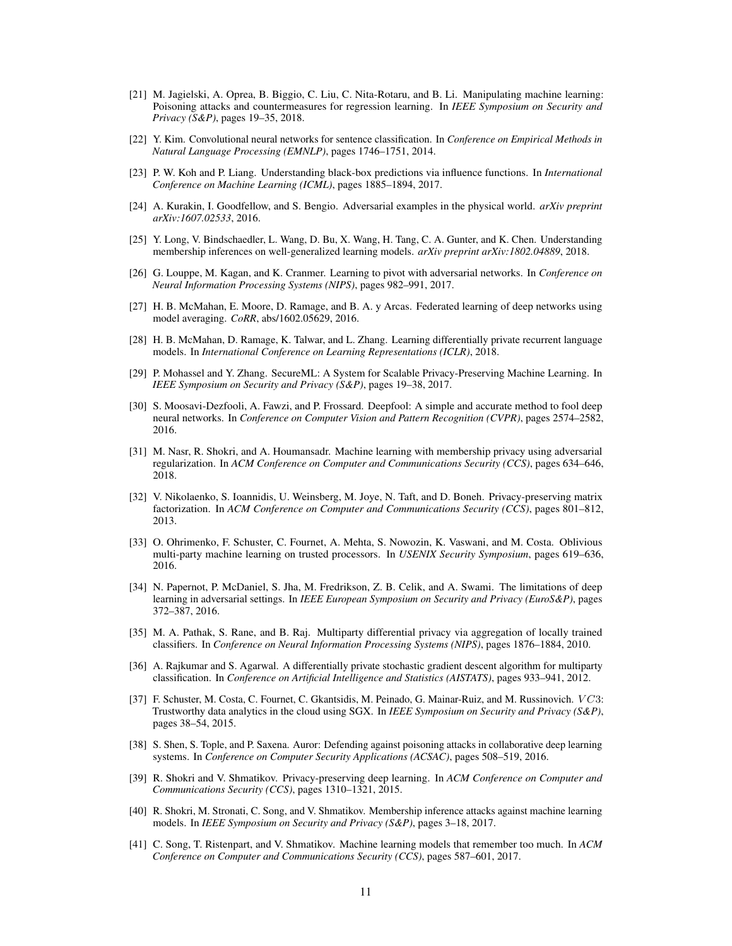- [21] M. Jagielski, A. Oprea, B. Biggio, C. Liu, C. Nita-Rotaru, and B. Li. Manipulating machine learning: Poisoning attacks and countermeasures for regression learning. In *IEEE Symposium on Security and Privacy (S&P)*, pages 19–35, 2018.
- [22] Y. Kim. Convolutional neural networks for sentence classification. In *Conference on Empirical Methods in Natural Language Processing (EMNLP)*, pages 1746–1751, 2014.
- [23] P. W. Koh and P. Liang. Understanding black-box predictions via influence functions. In *International Conference on Machine Learning (ICML)*, pages 1885–1894, 2017.
- [24] A. Kurakin, I. Goodfellow, and S. Bengio. Adversarial examples in the physical world. *arXiv preprint arXiv:1607.02533*, 2016.
- [25] Y. Long, V. Bindschaedler, L. Wang, D. Bu, X. Wang, H. Tang, C. A. Gunter, and K. Chen. Understanding membership inferences on well-generalized learning models. *arXiv preprint arXiv:1802.04889*, 2018.
- [26] G. Louppe, M. Kagan, and K. Cranmer. Learning to pivot with adversarial networks. In *Conference on Neural Information Processing Systems (NIPS)*, pages 982–991, 2017.
- [27] H. B. McMahan, E. Moore, D. Ramage, and B. A. y Arcas. Federated learning of deep networks using model averaging. *CoRR*, abs/1602.05629, 2016.
- [28] H. B. McMahan, D. Ramage, K. Talwar, and L. Zhang. Learning differentially private recurrent language models. In *International Conference on Learning Representations (ICLR)*, 2018.
- [29] P. Mohassel and Y. Zhang. SecureML: A System for Scalable Privacy-Preserving Machine Learning. In *IEEE Symposium on Security and Privacy (S&P)*, pages 19–38, 2017.
- [30] S. Moosavi-Dezfooli, A. Fawzi, and P. Frossard. Deepfool: A simple and accurate method to fool deep neural networks. In *Conference on Computer Vision and Pattern Recognition (CVPR)*, pages 2574–2582, 2016.
- [31] M. Nasr, R. Shokri, and A. Houmansadr. Machine learning with membership privacy using adversarial regularization. In *ACM Conference on Computer and Communications Security (CCS)*, pages 634–646, 2018.
- [32] V. Nikolaenko, S. Ioannidis, U. Weinsberg, M. Joye, N. Taft, and D. Boneh. Privacy-preserving matrix factorization. In *ACM Conference on Computer and Communications Security (CCS)*, pages 801–812, 2013.
- [33] O. Ohrimenko, F. Schuster, C. Fournet, A. Mehta, S. Nowozin, K. Vaswani, and M. Costa. Oblivious multi-party machine learning on trusted processors. In *USENIX Security Symposium*, pages 619–636, 2016.
- [34] N. Papernot, P. McDaniel, S. Jha, M. Fredrikson, Z. B. Celik, and A. Swami. The limitations of deep learning in adversarial settings. In *IEEE European Symposium on Security and Privacy (EuroS&P)*, pages 372–387, 2016.
- [35] M. A. Pathak, S. Rane, and B. Raj. Multiparty differential privacy via aggregation of locally trained classifiers. In *Conference on Neural Information Processing Systems (NIPS)*, pages 1876–1884, 2010.
- [36] A. Rajkumar and S. Agarwal. A differentially private stochastic gradient descent algorithm for multiparty classification. In *Conference on Artificial Intelligence and Statistics (AISTATS)*, pages 933–941, 2012.
- [37] F. Schuster, M. Costa, C. Fournet, C. Gkantsidis, M. Peinado, G. Mainar-Ruiz, and M. Russinovich. VC3: Trustworthy data analytics in the cloud using SGX. In *IEEE Symposium on Security and Privacy (S&P)*, pages 38–54, 2015.
- [38] S. Shen, S. Tople, and P. Saxena. Auror: Defending against poisoning attacks in collaborative deep learning systems. In *Conference on Computer Security Applications (ACSAC)*, pages 508–519, 2016.
- [39] R. Shokri and V. Shmatikov. Privacy-preserving deep learning. In *ACM Conference on Computer and Communications Security (CCS)*, pages 1310–1321, 2015.
- [40] R. Shokri, M. Stronati, C. Song, and V. Shmatikov. Membership inference attacks against machine learning models. In *IEEE Symposium on Security and Privacy (S&P)*, pages 3–18, 2017.
- [41] C. Song, T. Ristenpart, and V. Shmatikov. Machine learning models that remember too much. In *ACM Conference on Computer and Communications Security (CCS)*, pages 587–601, 2017.